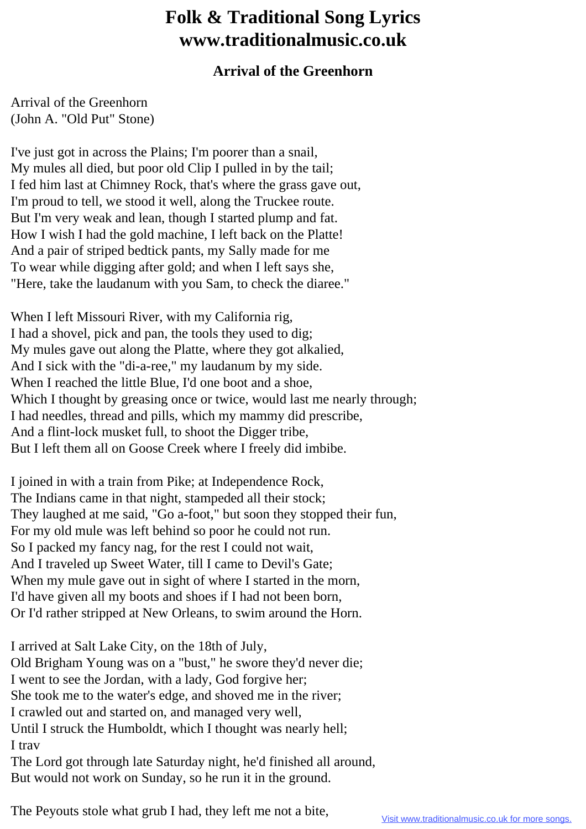## **Folk & Traditional Song Lyrics www.traditionalmusic.co.uk**

## **Arrival of the Greenhorn**

Arrival of the Greenhorn (John A. "Old Put" Stone)

I've just got in across the Plains; I'm poorer than a snail, My mules all died, but poor old Clip I pulled in by the tail; I fed him last at Chimney Rock, that's where the grass gave out, I'm proud to tell, we stood it well, along the Truckee route. But I'm very weak and lean, though I started plump and fat. How I wish I had the gold machine, I left back on the Platte! And a pair of striped bedtick pants, my Sally made for me To wear while digging after gold; and when I left says she, "Here, take the laudanum with you Sam, to check the diaree."

When I left Missouri River, with my California rig, I had a shovel, pick and pan, the tools they used to dig; My mules gave out along the Platte, where they got alkalied, And I sick with the "di-a-ree," my laudanum by my side. When I reached the little Blue, I'd one boot and a shoe, Which I thought by greasing once or twice, would last me nearly through; I had needles, thread and pills, which my mammy did prescribe, And a flint-lock musket full, to shoot the Digger tribe, But I left them all on Goose Creek where I freely did imbibe.

I joined in with a train from Pike; at Independence Rock, The Indians came in that night, stampeded all their stock; They laughed at me said, "Go a-foot," but soon they stopped their fun, For my old mule was left behind so poor he could not run. So I packed my fancy nag, for the rest I could not wait, And I traveled up Sweet Water, till I came to Devil's Gate; When my mule gave out in sight of where I started in the morn, I'd have given all my boots and shoes if I had not been born, Or I'd rather stripped at New Orleans, to swim around the Horn.

I arrived at Salt Lake City, on the 18th of July, Old Brigham Young was on a "bust," he swore they'd never die; I went to see the Jordan, with a lady, God forgive her; She took me to the water's edge, and shoved me in the river; I crawled out and started on, and managed very well, Until I struck the Humboldt, which I thought was nearly hell; I trav The Lord got through late Saturday night, he'd finished all around, But would not work on Sunday, so he run it in the ground.

The Peyouts stole what grub I had, they left me not a bite,